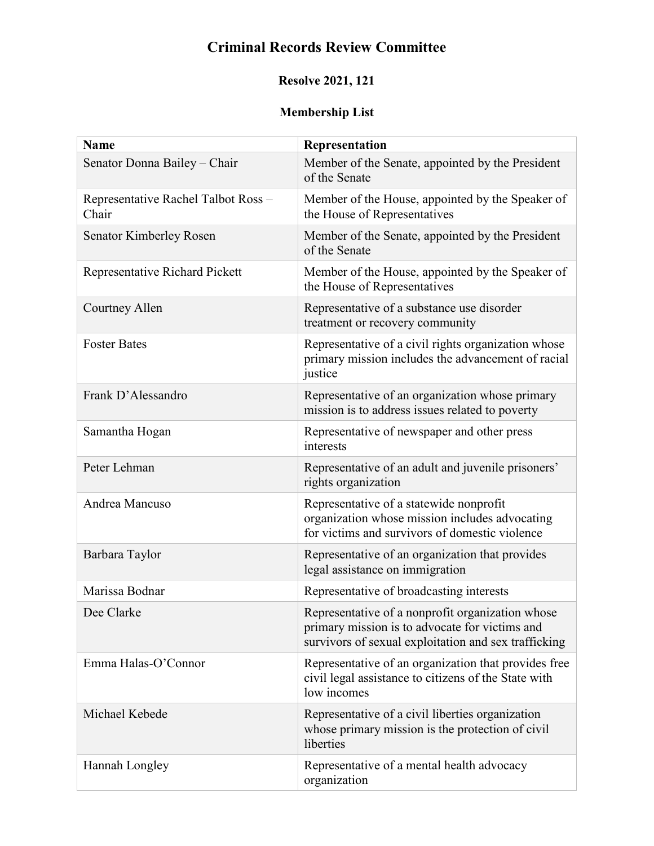## **Criminal Records Review Committee**

## **Resolve 2021, 121**

## **Membership List**

| <b>Name</b>                                  | Representation                                                                                                                                             |
|----------------------------------------------|------------------------------------------------------------------------------------------------------------------------------------------------------------|
| Senator Donna Bailey - Chair                 | Member of the Senate, appointed by the President<br>of the Senate                                                                                          |
| Representative Rachel Talbot Ross -<br>Chair | Member of the House, appointed by the Speaker of<br>the House of Representatives                                                                           |
| <b>Senator Kimberley Rosen</b>               | Member of the Senate, appointed by the President<br>of the Senate                                                                                          |
| Representative Richard Pickett               | Member of the House, appointed by the Speaker of<br>the House of Representatives                                                                           |
| Courtney Allen                               | Representative of a substance use disorder<br>treatment or recovery community                                                                              |
| <b>Foster Bates</b>                          | Representative of a civil rights organization whose<br>primary mission includes the advancement of racial<br>justice                                       |
| Frank D'Alessandro                           | Representative of an organization whose primary<br>mission is to address issues related to poverty                                                         |
| Samantha Hogan                               | Representative of newspaper and other press<br>interests                                                                                                   |
| Peter Lehman                                 | Representative of an adult and juvenile prisoners'<br>rights organization                                                                                  |
| Andrea Mancuso                               | Representative of a statewide nonprofit<br>organization whose mission includes advocating<br>for victims and survivors of domestic violence                |
| Barbara Taylor                               | Representative of an organization that provides<br>legal assistance on immigration                                                                         |
| Marissa Bodnar                               | Representative of broadcasting interests                                                                                                                   |
| Dee Clarke                                   | Representative of a nonprofit organization whose<br>primary mission is to advocate for victims and<br>survivors of sexual exploitation and sex trafficking |
| Emma Halas-O'Connor                          | Representative of an organization that provides free<br>civil legal assistance to citizens of the State with<br>low incomes                                |
| Michael Kebede                               | Representative of a civil liberties organization<br>whose primary mission is the protection of civil<br>liberties                                          |
| Hannah Longley                               | Representative of a mental health advocacy<br>organization                                                                                                 |